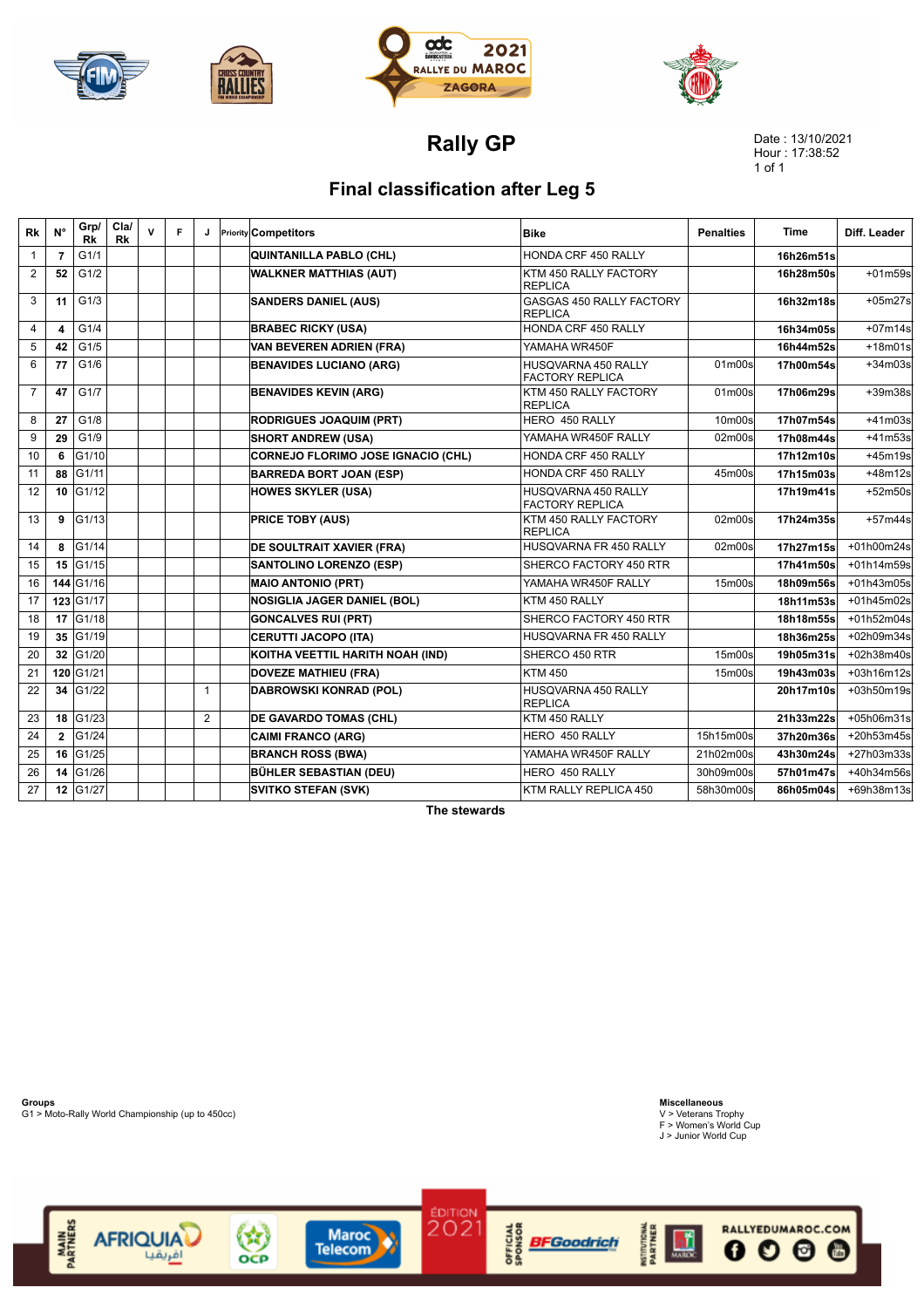







**Rally GP**

Date : 13/10/2021 Hour : 17:38:52 1 of 1

## **Final classification after Leg 5**

| Rk             | $N^{\circ}$    | Grp/<br>Rk | Cla/<br>Rk | $\mathsf{v}$ | F |              | <b>Priority Competitors</b>        | <b>Bike</b>                                       | <b>Penalties</b> | Time      | Diff. Leader |
|----------------|----------------|------------|------------|--------------|---|--------------|------------------------------------|---------------------------------------------------|------------------|-----------|--------------|
| $\mathbf{1}$   | $\overline{7}$ | G1/1       |            |              |   |              | QUINTANILLA PABLO (CHL)            | HONDA CRF 450 RALLY                               |                  | 16h26m51s |              |
| 2              | 52             | G1/2       |            |              |   |              | <b>WALKNER MATTHIAS (AUT)</b>      | KTM 450 RALLY FACTORY<br><b>REPLICA</b>           |                  | 16h28m50s | $+01m59s$    |
| 3              | 11             | G1/3       |            |              |   |              | <b>SANDERS DANIEL (AUS)</b>        | <b>GASGAS 450 RALLY FACTORY</b><br><b>REPLICA</b> |                  | 16h32m18s | $+05m27s$    |
| $\overline{4}$ | 4              | G1/4       |            |              |   |              | <b>BRABEC RICKY (USA)</b>          | HONDA CRF 450 RALLY                               |                  | 16h34m05s | $+07m14s$    |
| 5              | 42             | G1/5       |            |              |   |              | VAN BEVEREN ADRIEN (FRA)           | YAMAHA WR450F                                     |                  | 16h44m52s | $+18m01s$    |
| 6              | 77             | G1/6       |            |              |   |              | <b>BENAVIDES LUCIANO (ARG)</b>     | HUSQVARNA 450 RALLY<br><b>FACTORY REPLICA</b>     | 01m00s           | 17h00m54s | $+34m03s$    |
| $\overline{7}$ | 47             | G1/7       |            |              |   |              | <b>BENAVIDES KEVIN (ARG)</b>       | KTM 450 RALLY FACTORY<br><b>REPLICA</b>           | 01m00s           | 17h06m29s | +39m38s      |
| 8              | 27             | G1/8       |            |              |   |              | <b>RODRIGUES JOAQUIM (PRT)</b>     | HERO 450 RALLY                                    | 10m00s           | 17h07m54s | $+41m03s$    |
| 9              | 29             | G1/9       |            |              |   |              | <b>SHORT ANDREW (USA)</b>          | YAMAHA WR450F RALLY                               | 02m00s           | 17h08m44s | $+41m53s$    |
| 10             | 6              | G1/10      |            |              |   |              | CORNEJO FLORIMO JOSE IGNACIO (CHL) | HONDA CRF 450 RALLY                               |                  | 17h12m10s | $+45m19s$    |
| 11             | 88             | G1/11      |            |              |   |              | <b>BARREDA BORT JOAN (ESP)</b>     | HONDA CRF 450 RALLY                               | 45m00s           | 17h15m03s | $+48m12s$    |
| 12             | 10             | G1/12      |            |              |   |              | <b>HOWES SKYLER (USA)</b>          | HUSQVARNA 450 RALLY<br><b>FACTORY REPLICA</b>     |                  | 17h19m41s | $+52m50s$    |
| 13             | 9              | G1/13      |            |              |   |              | <b>PRICE TOBY (AUS)</b>            | KTM 450 RALLY FACTORY<br><b>REPLICA</b>           | 02m00s           | 17h24m35s | $+57m44s$    |
| 14             | 8              | G1/14      |            |              |   |              | <b>DE SOULTRAIT XAVIER (FRA)</b>   | HUSQVARNA FR 450 RALLY                            | 02m00s           | 17h27m15s | +01h00m24s   |
| 15             | 15             | G1/15      |            |              |   |              | <b>SANTOLINO LORENZO (ESP)</b>     | SHERCO FACTORY 450 RTR                            |                  | 17h41m50s | +01h14m59s   |
| 16             |                | 144 G1/16  |            |              |   |              | <b>MAIO ANTONIO (PRT)</b>          | YAMAHA WR450F RALLY                               | 15m00s           | 18h09m56s | +01h43m05s   |
| 17             |                | 123 G1/17  |            |              |   |              | <b>NOSIGLIA JAGER DANIEL (BOL)</b> | KTM 450 RALLY                                     |                  | 18h11m53s | +01h45m02s   |
| 18             | 17             | G1/18      |            |              |   |              | <b>GONCALVES RUI (PRT)</b>         | SHERCO FACTORY 450 RTR                            |                  | 18h18m55s | +01h52m04s   |
| 19             | 35             | G1/19      |            |              |   |              | <b>CERUTTI JACOPO (ITA)</b>        | HUSQVARNA FR 450 RALLY                            |                  | 18h36m25s | +02h09m34s   |
| 20             | 32             | G1/20      |            |              |   |              | KOITHA VEETTIL HARITH NOAH (IND)   | SHERCO 450 RTR                                    | 15m00s           | 19h05m31s | +02h38m40s   |
| 21             |                | 120 G1/21  |            |              |   |              | <b>DOVEZE MATHIEU (FRA)</b>        | <b>KTM 450</b>                                    | 15m00s           | 19h43m03s | +03h16m12s   |
| 22             | 34             | G1/22      |            |              |   | $\mathbf{1}$ | DABROWSKI KONRAD (POL)             | HUSQVARNA 450 RALLY<br><b>REPLICA</b>             |                  | 20h17m10s | +03h50m19s   |
| 23             | 18             | G1/23      |            |              |   | 2            | <b>DE GAVARDO TOMAS (CHL)</b>      | KTM 450 RALLY                                     |                  | 21h33m22s | +05h06m31s   |
| 24             | $\overline{2}$ | G1/24      |            |              |   |              | <b>CAIMI FRANCO (ARG)</b>          | HERO 450 RALLY                                    | 15h15m00s        | 37h20m36s | +20h53m45s   |
| 25             | 16             | G1/25      |            |              |   |              | <b>BRANCH ROSS (BWA)</b>           | YAMAHA WR450F RALLY                               | 21h02m00s        | 43h30m24s | +27h03m33s   |
| 26             | 14             | G1/26      |            |              |   |              | <b>BÜHLER SEBASTIAN (DEU)</b>      | HERO 450 RALLY                                    | 30h09m00s        | 57h01m47s | +40h34m56s   |
| 27             |                | 12 G1/27   |            |              |   |              | <b>SVITKO STEFAN (SVK)</b>         | KTM RALLY REPLICA 450                             | 58h30m00s        | 86h05m04s | +69h38m13s   |

**The stewards**

**Groups** G1 > Moto-Rally World Championship (up to 450cc)

MAIN<br>PARTNERS

**Miscellaneous** V > Veterans Trophy F > Women's World Cup J > Junior World Cup





Maroc<br>Telecom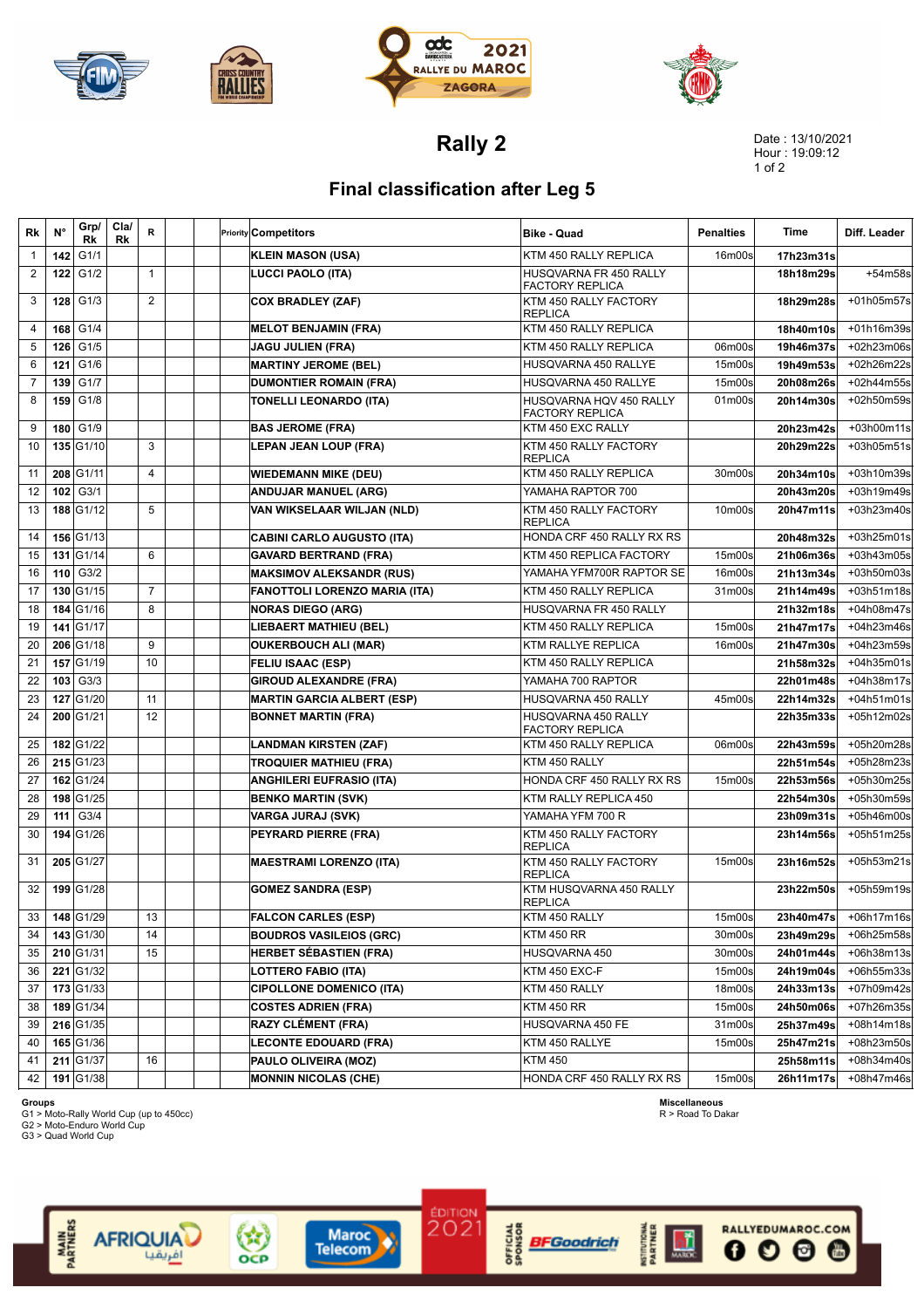







**Rally 2**

Date : 13/10/2021 Hour : 19:09:12 1 of 2

## **Final classification after Leg 5**

| Rk | N°  | Grp/<br>Rk       | Cla/<br>Rk | R              |  | <b>Priority Competitors</b>          | <b>Bike - Quad</b>                                | <b>Penalties</b> | Time      | Diff. Leader |
|----|-----|------------------|------------|----------------|--|--------------------------------------|---------------------------------------------------|------------------|-----------|--------------|
| 1  | 142 | G1/1             |            |                |  | <b>KLEIN MASON (USA)</b>             | KTM 450 RALLY REPLICA                             | 16m00s           | 17h23m31s |              |
| 2  | 122 | G1/2             |            | $\mathbf{1}$   |  | LUCCI PAOLO (ITA)                    | HUSQVARNA FR 450 RALLY<br><b>FACTORY REPLICA</b>  |                  | 18h18m29s | +54m58s      |
| 3  | 128 | G1/3             |            | 2              |  | <b>COX BRADLEY (ZAF)</b>             | KTM 450 RALLY FACTORY<br><b>REPLICA</b>           |                  | 18h29m28s | +01h05m57s   |
| 4  | 168 | G1/4             |            |                |  | <b>MELOT BENJAMIN (FRA)</b>          | KTM 450 RALLY REPLICA                             |                  | 18h40m10s | +01h16m39s   |
| 5  | 126 | G1/5             |            |                |  | <b>JAGU JULIEN (FRA)</b>             | KTM 450 RALLY REPLICA                             | 06m00s           | 19h46m37s | +02h23m06s   |
| 6  | 121 | G1/6             |            |                |  | <b>MARTINY JEROME (BEL)</b>          | HUSQVARNA 450 RALLYE                              | 15m00s           | 19h49m53s | +02h26m22s   |
| 7  | 139 | G1/7             |            |                |  | <b>DUMONTIER ROMAIN (FRA)</b>        | HUSQVARNA 450 RALLYE                              | 15m00s           | 20h08m26s | +02h44m55s   |
| 8  | 159 | G1/8             |            |                |  | TONELLI LEONARDO (ITA)               | HUSQVARNA HQV 450 RALLY<br><b>FACTORY REPLICA</b> | 01m00s           | 20h14m30s | +02h50m59s   |
| 9  | 180 | G1/9             |            |                |  | <b>BAS JEROME (FRA)</b>              | KTM 450 EXC RALLY                                 |                  | 20h23m42s | +03h00m11s   |
| 10 |     | 135 G1/10        |            | 3              |  | <b>LEPAN JEAN LOUP (FRA)</b>         | KTM 450 RALLY FACTORY<br><b>REPLICA</b>           |                  | 20h29m22s | +03h05m51s   |
| 11 |     | 208 G1/11        |            | 4              |  | <b>WIEDEMANN MIKE (DEU)</b>          | KTM 450 RALLY REPLICA                             | 30m00s           | 20h34m10s | +03h10m39s   |
| 12 | 102 | G3/1             |            |                |  | <b>ANDUJAR MANUEL (ARG)</b>          | YAMAHA RAPTOR 700                                 |                  | 20h43m20s | +03h19m49s   |
| 13 |     | 188 G1/12        |            | 5              |  | VAN WIKSELAAR WILJAN (NLD)           | KTM 450 RALLY FACTORY<br><b>REPLICA</b>           | 10m00s           | 20h47m11s | +03h23m40s   |
| 14 |     | 156 G1/13        |            |                |  | <b>CABINI CARLO AUGUSTO (ITA)</b>    | HONDA CRF 450 RALLY RX RS                         |                  | 20h48m32s | +03h25m01s   |
| 15 |     | 131 G1/14        |            | 6              |  | <b>GAVARD BERTRAND (FRA)</b>         | KTM 450 REPLICA FACTORY                           | 15m00s           | 21h06m36s | +03h43m05s   |
| 16 | 110 | G3/2             |            |                |  | <b>MAKSIMOV ALEKSANDR (RUS)</b>      | YAMAHA YFM700R RAPTOR SE                          | 16m00s           | 21h13m34s | +03h50m03s   |
| 17 |     | 130 G1/15        |            | $\overline{7}$ |  | <b>FANOTTOLI LORENZO MARIA (ITA)</b> | KTM 450 RALLY REPLICA                             | 31m00s           | 21h14m49s | +03h51m18s   |
| 18 |     | 184 G1/16        |            | 8              |  | <b>NORAS DIEGO (ARG)</b>             | HUSQVARNA FR 450 RALLY                            |                  | 21h32m18s | +04h08m47s   |
| 19 |     | 141 G1/17        |            |                |  | LIEBAERT MATHIEU (BEL)               | KTM 450 RALLY REPLICA                             | 15m00s           | 21h47m17s | +04h23m46s   |
| 20 |     | 206 G1/18        |            | 9              |  | <b>OUKERBOUCH ALI (MAR)</b>          | KTM RALLYE REPLICA                                | 16m00s           | 21h47m30s | +04h23m59s   |
| 21 |     | 157 G1/19        |            | 10             |  | <b>FELIU ISAAC (ESP)</b>             | KTM 450 RALLY REPLICA                             |                  | 21h58m32s | +04h35m01s   |
| 22 |     | $103$ G3/3       |            |                |  | <b>GIROUD ALEXANDRE (FRA)</b>        | YAMAHA 700 RAPTOR                                 |                  | 22h01m48s | +04h38m17s   |
| 23 |     | 127 G1/20        |            | 11             |  | <b>MARTIN GARCIA ALBERT (ESP)</b>    | HUSQVARNA 450 RALLY                               | 45m00s           | 22h14m32s | $+04h51m01s$ |
| 24 |     | 200 G1/21        |            | 12             |  | <b>BONNET MARTIN (FRA)</b>           | HUSQVARNA 450 RALLY<br><b>FACTORY REPLICA</b>     |                  | 22h35m33s | +05h12m02s   |
| 25 |     | 182 G1/22        |            |                |  | <b>LANDMAN KIRSTEN (ZAF)</b>         | KTM 450 RALLY REPLICA                             | 06m00s           | 22h43m59s | +05h20m28s   |
| 26 |     | 215 G1/23        |            |                |  | <b>TROQUIER MATHIEU (FRA)</b>        | KTM 450 RALLY                                     |                  | 22h51m54s | +05h28m23s   |
| 27 |     | 162 G1/24        |            |                |  | <b>ANGHILERI EUFRASIO (ITA)</b>      | HONDA CRF 450 RALLY RX RS                         | 15m00s           | 22h53m56s | +05h30m25s   |
| 28 |     | 198 G1/25        |            |                |  | <b>BENKO MARTIN (SVK)</b>            | KTM RALLY REPLICA 450                             |                  | 22h54m30s | +05h30m59s   |
| 29 | 111 | G3/4             |            |                |  | VARGA JURAJ (SVK)                    | YAMAHA YFM 700 R                                  |                  | 23h09m31s | +05h46m00s   |
| 30 |     | 194 G1/26        |            |                |  | PEYRARD PIERRE (FRA)                 | KTM 450 RALLY FACTORY<br><b>REPLICA</b>           |                  | 23h14m56s | +05h51m25s   |
| 31 |     | 205 G1/27        |            |                |  | <b>MAESTRAMI LORENZO (ITA)</b>       | KTM 450 RALLY FACTORY<br><b>REPLICA</b>           | 15m00s           | 23h16m52s | +05h53m21s   |
| 32 |     | 199 G1/28        |            |                |  | <b>GOMEZ SANDRA (ESP)</b>            | KTM HUSQVARNA 450 RALLY<br><b>REPLICA</b>         |                  | 23h22m50s | +05h59m19s   |
| 33 |     | <b>148 G1/29</b> |            | 13             |  | <b>FALCON CARLES (ESP)</b>           | KTM 450 RALLY                                     | 15m00s           | 23h40m47s | +06h17m16s   |
| 34 |     | 143 G1/30        |            | 14             |  | <b>BOUDROS VASILEIOS (GRC)</b>       | <b>KTM 450 RR</b>                                 | 30m00s           | 23h49m29s | +06h25m58s   |
| 35 |     | 210 G1/31        |            | 15             |  | <b>HERBET SÉBASTIEN (FRA)</b>        | HUSQVARNA 450                                     | 30m00s           | 24h01m44s | +06h38m13s   |
| 36 |     | 221 G1/32        |            |                |  | LOTTERO FABIO (ITA)                  | KTM 450 EXC-F                                     | 15m00s           | 24h19m04s | +06h55m33s   |
| 37 |     | $173$ G1/33      |            |                |  | <b>CIPOLLONE DOMENICO (ITA)</b>      | KTM 450 RALLY                                     | 18m00s           | 24h33m13s | +07h09m42s   |
| 38 |     | 189 G1/34        |            |                |  | <b>COSTES ADRIEN (FRA)</b>           | <b>KTM 450 RR</b>                                 | 15m00s           | 24h50m06s | +07h26m35s   |
| 39 |     | 216 G1/35        |            |                |  | RAZY CLÉMENT (FRA)                   | HUSQVARNA 450 FE                                  | 31m00s           | 25h37m49s | $+08h14m18s$ |
| 40 |     | 165 G1/36        |            |                |  | <b>LECONTE EDOUARD (FRA)</b>         | KTM 450 RALLYE                                    | 15m00s           | 25h47m21s | +08h23m50s   |
| 41 |     | $211$ G1/37      |            | 16             |  | PAULO OLIVEIRA (MOZ)                 | <b>KTM 450</b>                                    |                  | 25h58m11s | +08h34m40s   |
| 42 |     | 191 G1/38        |            |                |  | <b>MONNIN NICOLAS (CHE)</b>          | HONDA CRF 450 RALLY RX RS                         | 15m00s           | 26h11m17s | +08h47m46s   |

EDITION<br>2021

**List of BFGoodrich**<br>List of BFGoodrich<br>b s

**Groups**<br>G1 > Moto-Rally World Cup (up to 450cc)<br>G3 > Moto-Enduro World Cup<br>G3 > Quad World Cup

AFRIQUIA

Sep<br>OCP

Maroc<br>Telecom

**MAIN**<br>PARTNERS



RALLYEDUMAROC.COM

**ね** 

佛